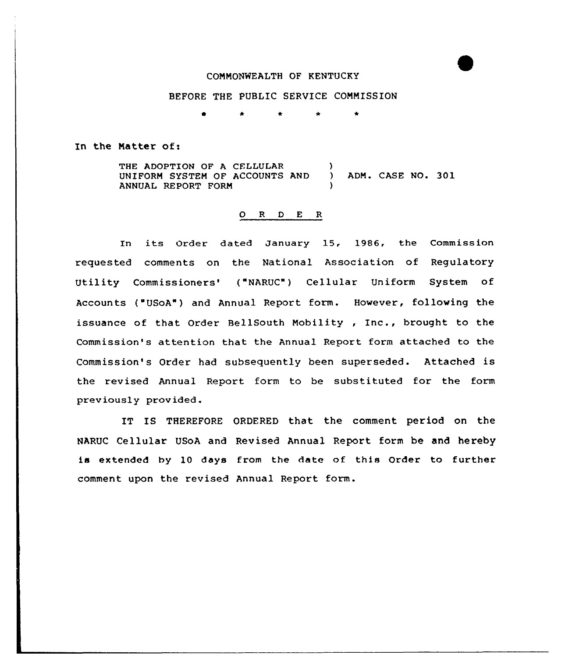### COMMONWEALTH OF KENTUCKY

## BEFORE THE PUBLIC SERVICE COMMISSION

 $\bullet$  $\bullet$  $\bullet$  $\bullet$ 

#### In the Natter of:

THE ADOPTION OF A CELLULAR (1997)<br>UNIFORM SYSTEM OF ACCOUNTS AND UNIFORM SYSTEM OF ACCOUNTS AND ) ADM. CASE NO. 301 ANNUAL REPORT FORM )

#### 0 <sup>R</sup> <sup>D</sup> E R

In its Order dated January 15, 1986, the Commission requested comments on the National Association of Regulatory Utility Commissioners' ("NARUC") Cellular Uniform System of Accounts ("USoA") and Annual Report form. However, following the issuance of that Order BellSouth Nobility , Inc., brought to the Commission's attention that the Annual Report form attached to the Commission's Order had subsequently been superseded. Attached is the revised Annual Report form to be substituted for the form prev iously prov ided.

IT IS THEREFORE ORDERED that the comment period on the NARUC Cellular USoA and Revised Annual Report form be and hereby is extended by 10 days from the date of this Order to further comment upon the revised Annual Report form.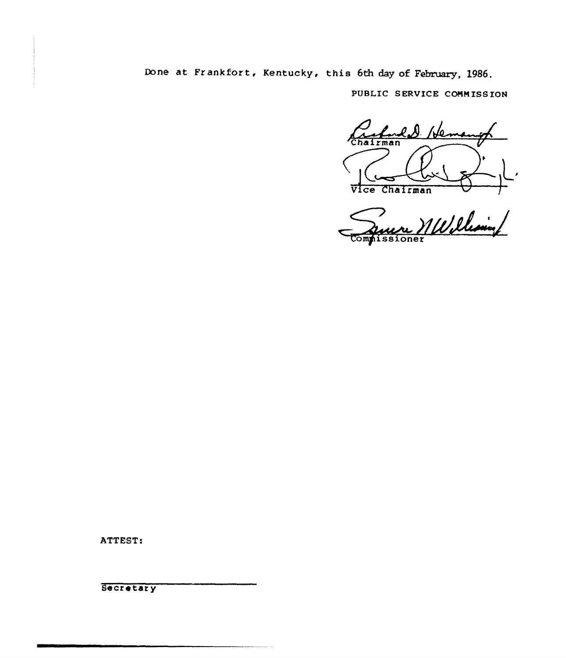Done at Frankfort, Kentucky, this 6th day of February, 1986.

PUBLIC SERVICE COMMISSION

N٥. Chairman Vice Chairman

re Willelesin Commissioner

ATTEST:

**Secretary**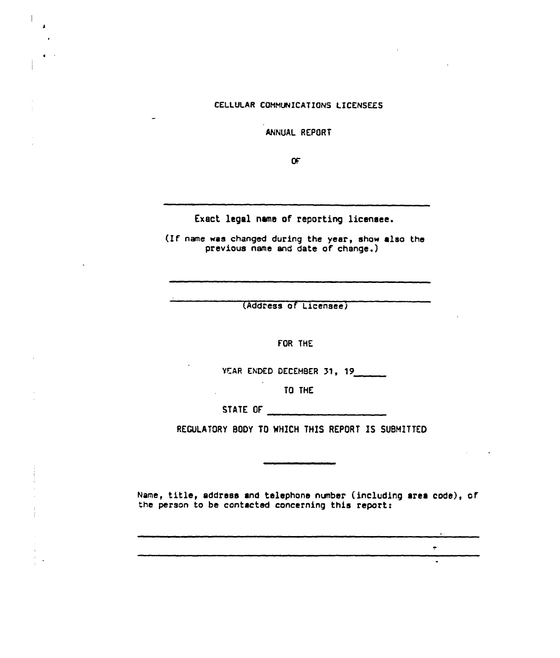# CELLULAR COHHUNICATIONS LICENSEES

ANNUAL REPORT

Œ

Exact legal name of reporting licensee.

(lf nane was changed during the year, show also the previous name and date of change.

(Address of Licenseej

FOR THE

YEAR ENDED DECEMBER 31, 19

TO THE

STATE OF THE STATE OF

BODY TO WHICH THIS REPORT IS SUBMITTED

Name, title, address and telephone nvnber (including area code), of the person to be contacted concerning this report:

 $\bullet$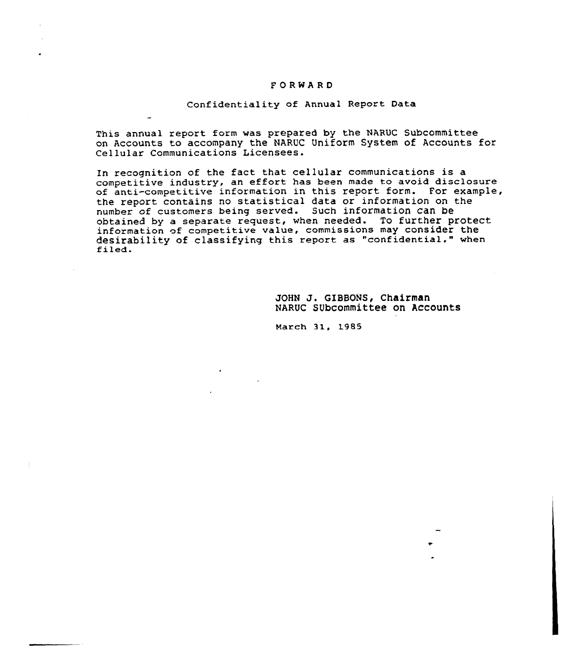#### FORWARD

#### Confidentiality of Annual Report Data

This annual report form was prepared by the NARUC Subcommittee on Accounts to accompany the NARUC Uniform System of Accounts for Cellular Communications Licensees.

In recognition of the fact that cellular communications is a competitive industry, an effort has been made to avoid disclosure of anti-competitive information in this report form. For example, the report contains no statistical data or information on the number of customers being served. Such information Can be obtained by a separate request, when needed. To further protect information of competitive value, commissions may consider the desirability of classifying this report as "confidential." when filed.

> JOHN J. GIBBONS, Chairman NARUC SUbcommittee on Accounts

March 31, 1985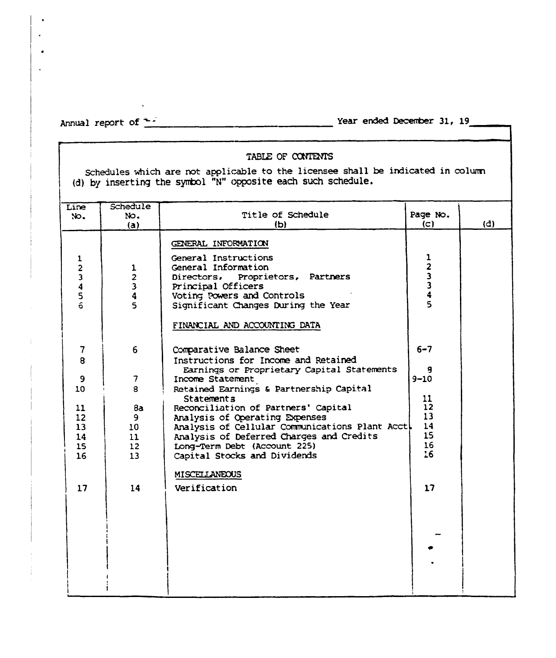$\bullet$  $\overline{a}$ 

Annual report of  $\frac{1}{x}$   $\frac{1}{x}$   $\frac{1}{x}$   $\frac{1}{x}$   $\frac{1}{x}$   $\frac{1}{x}$   $\frac{1}{x}$   $\frac{1}{x}$   $\frac{1}{x}$   $\frac{1}{x}$   $\frac{1}{x}$   $\frac{1}{x}$   $\frac{1}{x}$   $\frac{1}{x}$   $\frac{1}{x}$   $\frac{1}{x}$   $\frac{1}{x}$   $\frac{1}{x}$   $\frac{1}{x}$   $\frac{1}{x}$   $\frac{$ 

# TABLE OF CONTENTS

Schedules which are not applicable to the licensee shall be indicated in columr (d} by inserting the symbol "N" opposite each such schedule.

| Schedule                                                                                 |                                                                                                                                                                                                                                                                                                                                                                                   |                                                                                 |                                                 |
|------------------------------------------------------------------------------------------|-----------------------------------------------------------------------------------------------------------------------------------------------------------------------------------------------------------------------------------------------------------------------------------------------------------------------------------------------------------------------------------|---------------------------------------------------------------------------------|-------------------------------------------------|
| No.                                                                                      | Title of Schedule                                                                                                                                                                                                                                                                                                                                                                 | Page No.                                                                        |                                                 |
| (a)                                                                                      | (b)                                                                                                                                                                                                                                                                                                                                                                               | (C)                                                                             | (d)                                             |
| 1<br>$\overline{\mathbf{c}}$<br>3<br>4<br>5                                              | GENERAL INFORMATION<br>General Instructions<br>General Information<br>Directors, Proprietors, Partners<br>Principal Officers<br>Voting Powers and Controls<br>Significant Changes During the Year<br>FINANCIAL AND ACCOUNTING DATA                                                                                                                                                | $\frac{1}{2}$ $\frac{3}{3}$ $\frac{3}{4}$<br>5                                  |                                                 |
| 6<br>$\overline{\phantom{a}}$<br>8<br>8a<br>9.<br>$10-10$<br>11<br>12 <sup>2</sup><br>13 | Comparative Balance Sheet<br>Instructions for Income and Retained<br>Earnings or Proprietary Capital Statements<br>Income Statement<br>Retained Earnings & Partnership Capital<br>Statements<br>Reconciliation of Partners' Capital<br>Analysis of Operating Expenses<br>Analysis of Deferred Charges and Credits<br>Long-Term Debt (Account 225)<br>Capital Stocks and Dividends | $6 - 7$<br>я<br>$9 - 10$<br>11<br>12<br>13 <sup>°</sup><br>14<br>15<br>16<br>16 |                                                 |
| 14                                                                                       | MISCELLANEOUS<br>Verification                                                                                                                                                                                                                                                                                                                                                     | 17                                                                              |                                                 |
|                                                                                          |                                                                                                                                                                                                                                                                                                                                                                                   |                                                                                 | Analysis of Cellular Communications Plant Acct. |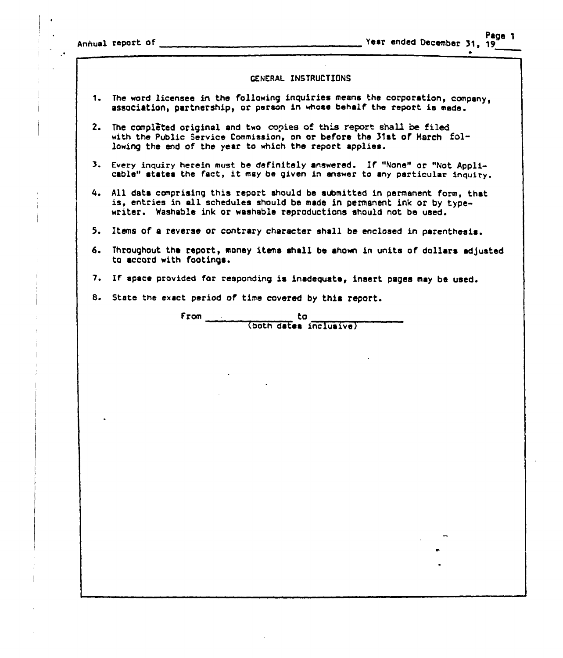Annual report of \_

#### GENERAL INSTRUCTIONS

- 1. The word licensee in the following inquiries means the corporation, company, association, partnership, or person in whose behalf the report is made.
- 2. The completed original and two copies of this report shall be filed with the Public Service Commission, on or before the 31st of March following the end of the year to which the report applies.
- 3. Every inquiry herein must be definitely answered. If "None" or "Not Applicable" states the fact, it may be given in answer to any particular inquiry.
- All data comprising this report should be submitted in permanent form, that is, entries in all schedules should be made in permanent ink or by typewriter. Washable ink or washable reproductions should not be used.
- 5. Items of a reverse or contrary character shall be enclosed in parenthesis.
- 6. Throughout the report, money items shall be ahown in units of dollars adjusted ta accord with footings.
- 7. If space provided for responding is inadequate, insert pages may be used.
- 8. State the exact period of time covered by this report.

From to to (bath dates inclusive)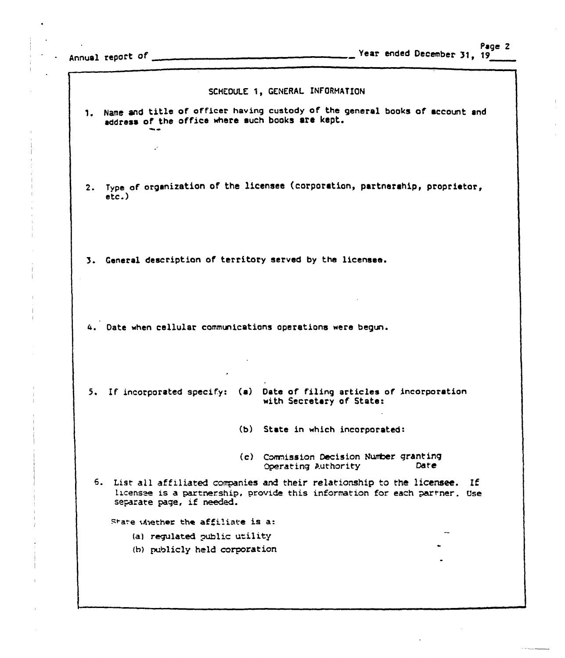$\sim 10^7$ 

 $\mathbf{I}$ 

|    |                                                             | SCHEDULE 1, GENERAL INFORMATION                                                                                                                          |
|----|-------------------------------------------------------------|----------------------------------------------------------------------------------------------------------------------------------------------------------|
|    | address of the office where such books are kept.            | 1. Name and title of officer having custody of the general books of account and                                                                          |
|    |                                                             |                                                                                                                                                          |
|    | $\mathcal{L}^{\mathcal{L}}$                                 |                                                                                                                                                          |
|    |                                                             | Type of organization of the licensee (corporation, partnerahip, proprietor,                                                                              |
| 2. | $etc.$ )                                                    |                                                                                                                                                          |
|    |                                                             |                                                                                                                                                          |
|    |                                                             |                                                                                                                                                          |
|    | 3. General description of territory served by the licensee. |                                                                                                                                                          |
|    |                                                             |                                                                                                                                                          |
|    |                                                             |                                                                                                                                                          |
|    | 4. Date when cellular communications operations were begun. |                                                                                                                                                          |
|    |                                                             |                                                                                                                                                          |
|    |                                                             |                                                                                                                                                          |
|    |                                                             |                                                                                                                                                          |
|    |                                                             | 5. If incorporated specify: (a) Date of filing articles of incorporation<br>with Secretary of State:                                                     |
|    |                                                             | (b) State in which incorporated:                                                                                                                         |
|    |                                                             |                                                                                                                                                          |
|    |                                                             | (c) Commission Decision Number granting<br>Date<br>Operating Authority                                                                                   |
|    | 6.<br>separate page, if needed.                             | List all affiliated companies and their relationship to the licensee.<br>1£<br>licensee is a partnership, provide this information for each partner. Use |
|    | State whether the affiliate is a:                           |                                                                                                                                                          |
|    | (a) regulated public utility                                |                                                                                                                                                          |
|    | (b) publicly held corporation                               |                                                                                                                                                          |
|    |                                                             |                                                                                                                                                          |
|    |                                                             |                                                                                                                                                          |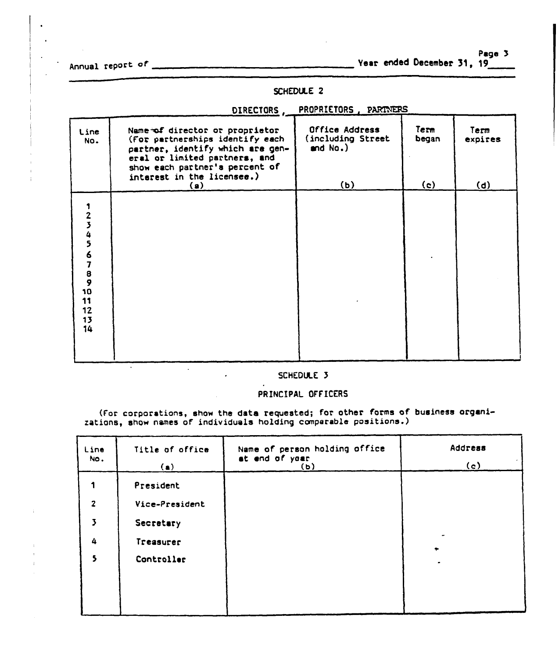Page 3

Annual repo« Year ended December 31, 19

# SCHEDULE 2

| Line<br>No.                       | Name of director or proprietor<br>(For partnerships identify each<br>partner, identify which are gen-<br>eral or limited partners, and<br>show each partner's percent of<br>interest in the licensee.)<br>(a) | Office Address<br>(including Street<br>and $No.$ )<br>(b) | Term<br>began<br>(c) | Term<br>expires<br>(d) |
|-----------------------------------|---------------------------------------------------------------------------------------------------------------------------------------------------------------------------------------------------------------|-----------------------------------------------------------|----------------------|------------------------|
| 234567890<br>11<br>12<br>13<br>14 |                                                                                                                                                                                                               |                                                           |                      |                        |

#### DIRECTORS, PROPRIETORS, PARTNERS

# SCHEDULE 3

#### PRINCIPAL OFFICERS

(For corporations, show the data requested; for other forms of business organizations, show names of individuals holding comparable positions.

| Line<br>NO.             | Title of office<br>(a) | Name of person holding office<br>at end of year<br>(b) | Address<br>$\mathcal{L}_{\mathcal{A}}$<br>(c) |
|-------------------------|------------------------|--------------------------------------------------------|-----------------------------------------------|
| 1                       | President              |                                                        |                                               |
| $\overline{2}$          | Vice-President         |                                                        |                                               |
| $\overline{\mathbf{z}}$ | Secretary              |                                                        |                                               |
| 4                       | Treasurer              |                                                        | ٠                                             |
| 5                       | Controller             |                                                        |                                               |
|                         |                        |                                                        |                                               |
|                         |                        |                                                        |                                               |
|                         |                        |                                                        |                                               |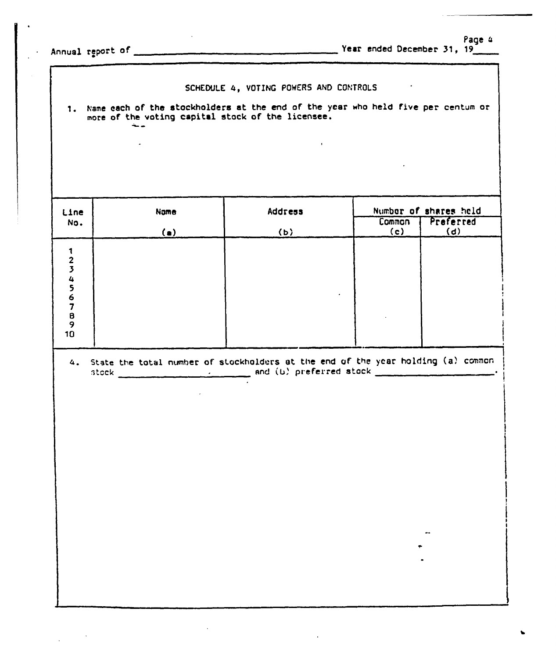Page 4 Year ended December 31, 19

 $\ddot{\phantom{a}}$ 

Annual report of

 $\bar{z}$ 

 $\mathbb{Z}^2$ 

|  |  |  |  |  | SCHEDULE 4, VOTING POWERS AND CONTROLS |
|--|--|--|--|--|----------------------------------------|
|--|--|--|--|--|----------------------------------------|

 $\mathbb{Z}$ 

1. Name each of the stockholders at the end of the year who held five per centum or more of the voting capital stock of the licensee.

 $\mathbf{r}$ 

| Line                        | Name       | Address |               | Number of shares held |
|-----------------------------|------------|---------|---------------|-----------------------|
| No.                         | (a)        | (b)     | Common<br>(c) | Preferred<br>(d)      |
| 12345678<br>$\pmb{9}$<br>10 |            |         |               |                       |
|                             | $\epsilon$ |         |               |                       |
|                             |            |         |               |                       |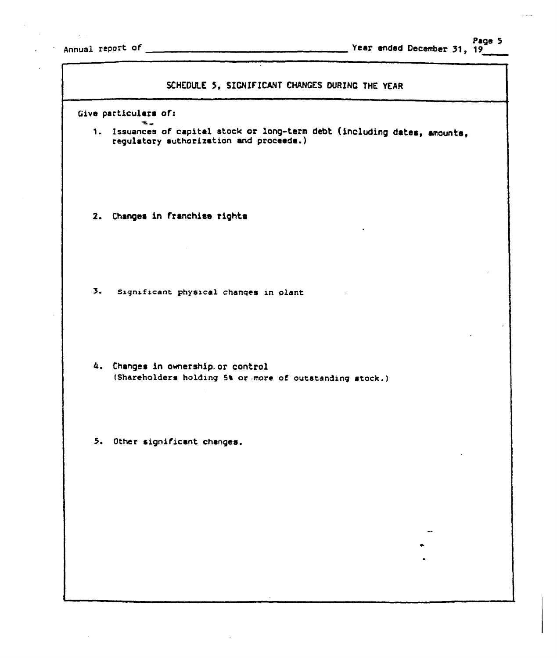$\mathbb{R}^2$ 

| SCHEDULE 5, SIGNIFICANT CHANGES DURING THE YEAR                                                                       |  |
|-----------------------------------------------------------------------------------------------------------------------|--|
| Give particulars of:                                                                                                  |  |
| 1. Issuances of capital stock or long-term debt (including dates, amounts,<br>regulatory authorization and proceeds.) |  |
| 2. Changes in franchise rights                                                                                        |  |
| $\overline{3}$ .<br>Significant physical changes in plant                                                             |  |
| 4. Changes in ownership.or control<br>(Shareholders holding 5% or more of outstanding stock.)                         |  |
| 5. Other significant changes.                                                                                         |  |
|                                                                                                                       |  |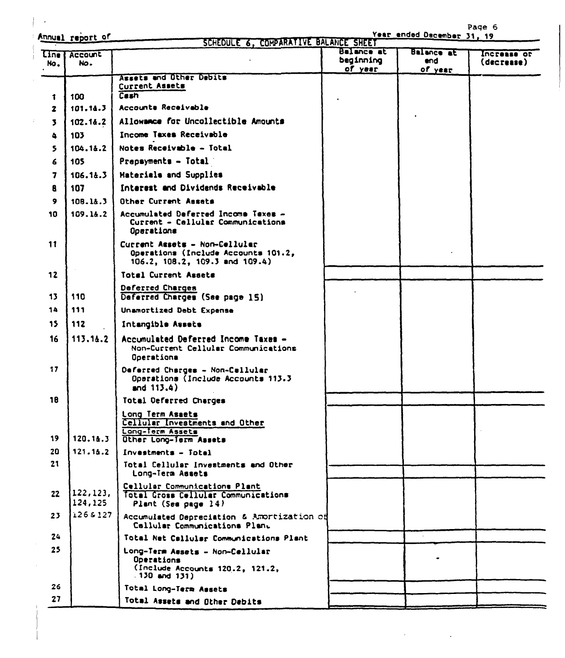Annual raport of

 $\overline{a}$ 

 $\mathcal{L}_{\mathrm{in}}$ 

 $\sim 10$ 

 $\mathcal{L}_{\mathcal{A}}$ 

Page 6<br>Year ended December 31, 19

| Line <sup>1</sup><br>No. | <b>Account</b><br>No. |                                                                                                        | Balance at<br>beginning<br>of year | Balance at<br>end.<br>of year | Increase or<br>(decrease) |
|--------------------------|-----------------------|--------------------------------------------------------------------------------------------------------|------------------------------------|-------------------------------|---------------------------|
|                          |                       | Assets and Other Debits                                                                                |                                    |                               |                           |
| 1                        | 100                   | Current Assets<br>Cash                                                                                 |                                    |                               |                           |
| $\mathbf{z}$             | 101.14.3              | Accounts Receivable                                                                                    |                                    |                               |                           |
| $\mathbf{z}$             | 102.14.2              | Allowance for Uncollectible Amounts                                                                    |                                    |                               |                           |
| 4                        | 103                   | Income Taxes Receivable                                                                                |                                    |                               |                           |
| 5.                       | 104.14.2              | Notes Receivable - Total                                                                               |                                    |                               |                           |
| 6                        | 105                   | Prepsyments - Total                                                                                    |                                    |                               |                           |
| $\overline{\mathbf{z}}$  | 106.14.3              | Materials and Supplies                                                                                 |                                    |                               |                           |
| 8                        | 107                   | Interest and Dividends Receivable                                                                      |                                    |                               |                           |
| 9                        | 108.14.3              | Other Current Assets                                                                                   |                                    |                               |                           |
| 10                       | 109.14.2              | Accumulated Deferred Income Taxes -<br>Current - Callular Communications<br>Operations                 |                                    |                               |                           |
| 11                       |                       | Current Assets - Non-Cellular<br>Operations (Include Accounts 101.2,<br>106.2, 108.2, 109.3 and 109.4) |                                    |                               |                           |
| 12                       |                       | Total Current Assets                                                                                   |                                    |                               |                           |
| 13                       | 110                   | Deferred Charges<br>Deferred Charges (See page 15)                                                     |                                    |                               |                           |
| 14                       | 111                   | Unamortized Debt Expense                                                                               |                                    |                               |                           |
| 15                       | 112                   | Intangible Assets                                                                                      |                                    |                               |                           |
| 16                       | 113.14.2              | Accumulated Deferred Income Taxes -<br>Non-Current Cellular Communications<br>Operationa               |                                    |                               |                           |
| 17                       |                       | Deferred Charges - Non-Callular<br>Operations (Include Accounts 113.3<br>and $113.4$ )                 |                                    |                               |                           |
| 18                       |                       | Total Deferred Charges                                                                                 |                                    |                               |                           |
|                          |                       | Long Term Asaets<br>Cellular Investments and Other<br>Long-Term Assets                                 |                                    |                               |                           |
| 19                       | 120.1&.3              | Other Long-Term Assets                                                                                 |                                    |                               |                           |
| 20<br>21                 | 121.14.2              | Investments - Totel                                                                                    |                                    |                               |                           |
|                          |                       | Total Cellular Investments and Other<br>Long-Term Assets                                               |                                    |                               |                           |
| 22                       | 122, 123,<br>124,125  | Cellular Communications Plant<br>Total Gross Cellular Communications<br>Plant (Sea page 14)            |                                    |                               |                           |
| 23                       | 1268127               | Accumulated Depreciation & Amortization of<br>Callular Communications Plant                            |                                    |                               |                           |
| 24                       |                       | Total Net Callular Communications Plant                                                                |                                    |                               |                           |
| 25                       |                       | Long-Term Assets - Non-Cellular<br>Operations<br>(Include Accounts 120.2, 121.2,<br>$.130$ and $131$ ) |                                    |                               |                           |
| 26                       |                       | Total Long-Term Assets                                                                                 |                                    |                               |                           |
| 27                       |                       | Total Assets and Other Debits                                                                          |                                    |                               |                           |

 $\mathcal{L}$ 

÷.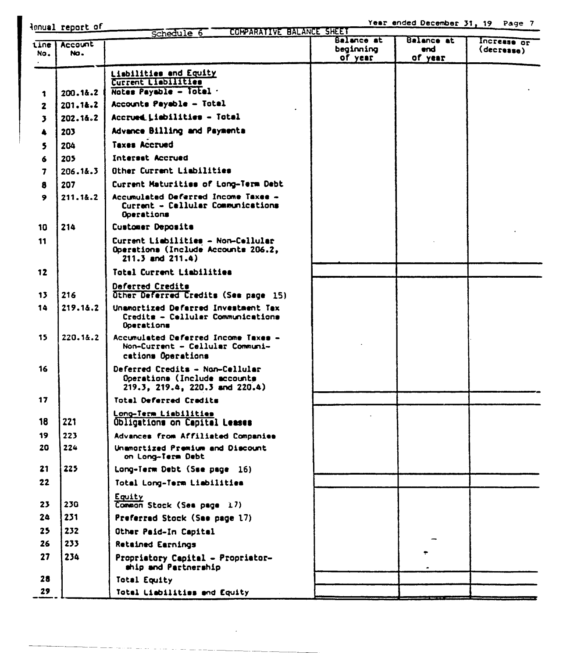innual report of Schedule 6 COMPARATIVE BALANCE SHEET Balance at Balance at Increase or tine Account beginning (decrease) end. No. No. of year of year Lisbilities and Equity Current Liabilities Notes Payable - Total .  $200.18.2$  $\ddot{\mathbf{r}}$ 201.1&.2 Accounts Payable - Total  $\overline{\mathbf{z}}$ Accrued Liabilities - Total  $\overline{\mathbf{3}}$ 202.1&.2 Advance Billing and Paymenta 203  $\blacktriangle$ **Taxes Accrued** 204  $\mathbf s$ **Interset Accrued** 205 6  $\overline{7}$ 206.1&.3 Other Current Liabilities 8 207 Current Maturities of Long-Term Debt 211.1&.2 Accumulated Deferred Income Taxes - $\ddot{\bullet}$ Current - Cellular Communications Operations 214 Customer Deposits 10 Current Liabilities - Non-Cellular 11 Operations (Include Accounts 206.2.  $211.3$  and  $211.4$ ) Total Current Liabilities 12 Deferred Credits 216 Other Deferred Credits (See page 15) 13 14 219.1&.2 Unamortized Deferred Investment Tax Credits - Cellular Communications Doerations 15 220.1&.2 Accumulated Deferred Income Taxes -Non-Current - Cellular Communications Operations 16 Deferred Credits - Non-Cellular Operations (Include accounts 219.3, 219.4, 220.3 and 220.4)  $17$ **Total Deferred Cradits** Long-Term Liabilities 221 18 Obligations on Capital Leases 223 19 Advances from Affiliated Companies 20 224 Unamortized Premium and Discount on Long-Term Debt  $21$ 225 Long-Term Debt (Sse page 16)  $22$ Total Long-Term Liabilities Equity 23 230 Common Stock (See page 17)  $24$ 231 Preferrad Stock (Sae page 17) 232 25 Other Paid-In Capital 26 233 **Retained Earnings** 27 234 Propriatory Capital - Propriatorship and Partnership 28 Total Equity 29 Totel Liabilities and Equity

Year ended December 31, 19 Page 7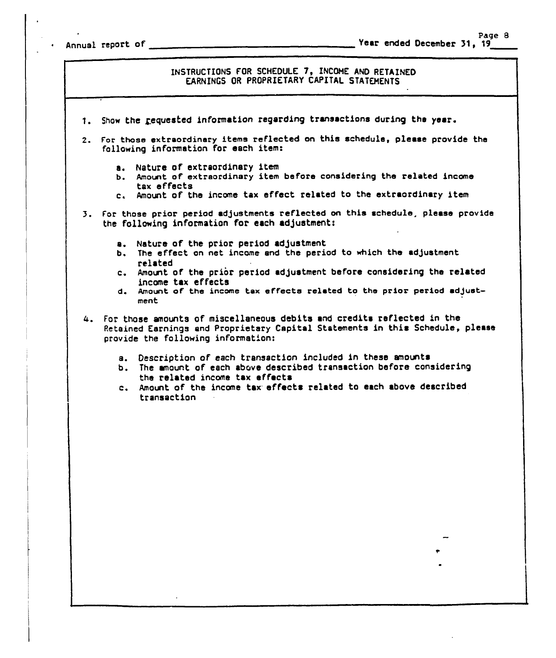<sup>~</sup> Annual report of

INSTRUCTIONS FOR SCHEDULE 7, INCOME AND RETAINED EARNINGS OR PROPRIETARY CAPITAL STATEHENTS

- 1. Show the requested information regarding transactions during the year.
- 2. For those extraordinary items reflected on this schedule, please provide the following information for each item:
	- a. Nature of extraordinary item
	- b. Amount of extraordinary item before considering the related income tax effects
	- c. Amount of the income tax effect related to the extraordinary item
- 3. For those prior period adjustments reflected on this schedule, please provide the following information for each adjustment:
	- a. Nature of the prior period adjustment
	- b. The effect on net income and the period to which the adjustment related
	- c. Amount of the prior period adjustment before considering the related income tax effects
	- d. Amount, of the income tax effects related to the prior period adjustment
- 4. For those amounts of miscellaneous debits and credits ref'lected in the Retained Earnings and Proprietary Capital Statements in this Schedule, please provide the following information:
	- s. Description of each transaction included in these amounts
	- b. The amount of each above described transaction before considering the related income tax effects
	- c. Amount of the income tax effects related to each above described transaction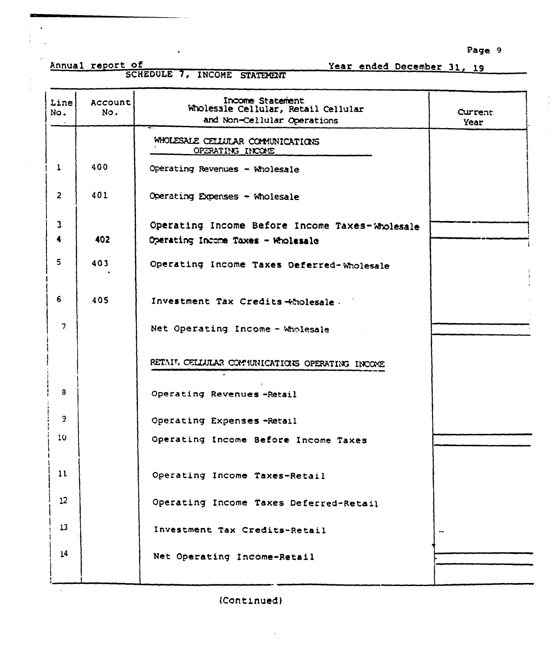Page 9

 $\frac{1}{2}$ 

Annual report of SCHEDULE 7, INCOME STATEMENT

 $\sim$ 

Year ended December 31, 19

|                |                | Income Statement                                |         |
|----------------|----------------|-------------------------------------------------|---------|
| Line.<br>No.   | Account<br>No. | Wholesale Cellular, Retail Cellular             | Current |
|                |                | and Non-Cellular Operations                     | Year    |
|                |                | WHOLESALE CELLULAR COMMUNICATIONS               |         |
|                |                | OPERATING INCOME                                |         |
| $\mathbf{1}$   | 400            | Operating Revenues - Wholesale                  |         |
| $\overline{2}$ | 401            | Operating Expenses - Wholesale                  |         |
|                |                |                                                 |         |
| 3              |                | Operating Income Before Income Taxes-Wholesale  |         |
|                | 402            | Operating Income Taxes - Wholesale              |         |
| 5              | 403            | Operating Income Taxes Deferred-Wholesale       |         |
|                |                |                                                 |         |
| 6              |                |                                                 |         |
|                | 405            | Investment Tax Credits +holesale.               |         |
| 7              |                | Net Operating Income - Wholesale                |         |
|                |                |                                                 |         |
|                |                | RETAIL CELLULAR COMMUNICATIONS OPERATING INCOME |         |
|                |                |                                                 |         |
| 3              |                | Operating Revenues-Retail                       |         |
| 9              |                |                                                 |         |
|                |                | Operating Expenses-Retail                       |         |
| 10             |                | Operating Income Before Income Taxes            |         |
|                |                |                                                 |         |
| 11             |                | Operating Income Taxes-Retail                   |         |
| 12             |                | Operating Income Taxes Deferred-Retail          |         |
|                |                |                                                 |         |
| 13             |                | Investment Tax Credits-Retail                   |         |
| 14             |                |                                                 |         |
|                |                | Net Operating Income-Retail                     |         |
|                |                |                                                 |         |

(Continued)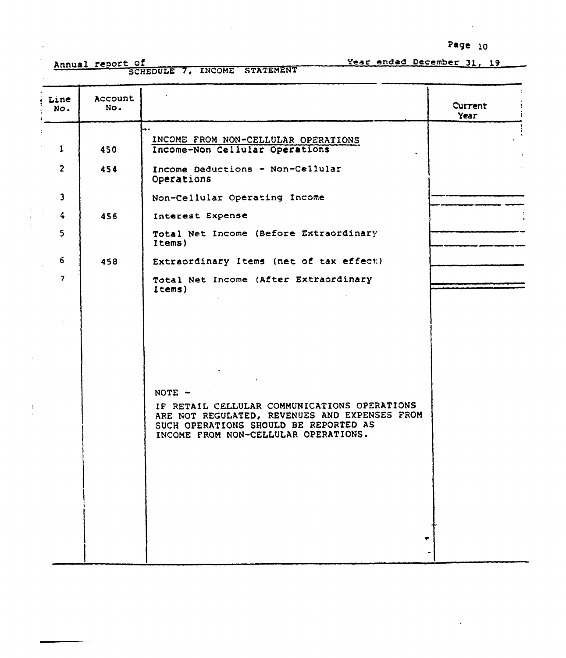Page lO

Annual report of<br>SCHEDULE 7, INCOME STATEMENT

Year ended December 31, 19

| Line<br>NO.                                                                       | Account<br>No.           |                                                                                                                                                                                                                                                                             | Current<br>Year |
|-----------------------------------------------------------------------------------|--------------------------|-----------------------------------------------------------------------------------------------------------------------------------------------------------------------------------------------------------------------------------------------------------------------------|-----------------|
| $\mathbf{1}$<br>$\overline{2}$<br>$\mathbf{3}$<br>$\blacktriangleleft$<br>5<br>-6 | 450<br>454<br>456<br>458 | INCOME FROM NON-CELLULAR OPERATIONS<br>Income-Non Cellular Operations<br>Income Deductions - Non-Cellular<br>Operations<br>Non-Cellular Operating Income<br>Interest Expense<br>Total Net Income (Before Extraordinary<br>Items)<br>Extraordinary Items (net of tax effect) |                 |
| $\overline{ }$                                                                    |                          | Total Net Income (After Extraordinary<br>Items)                                                                                                                                                                                                                             |                 |
|                                                                                   |                          | NOTE -<br>IF RETAIL CELLULAR COMMUNICATIONS OPERATIONS<br>ARE NOT REGULATED, REVENUES AND EXPENSES FROM<br>SUCH OPERATIONS SHOULD BE REPORTED AS<br>INCOME FROM NON-CELLULAR OPERATIONS.                                                                                    |                 |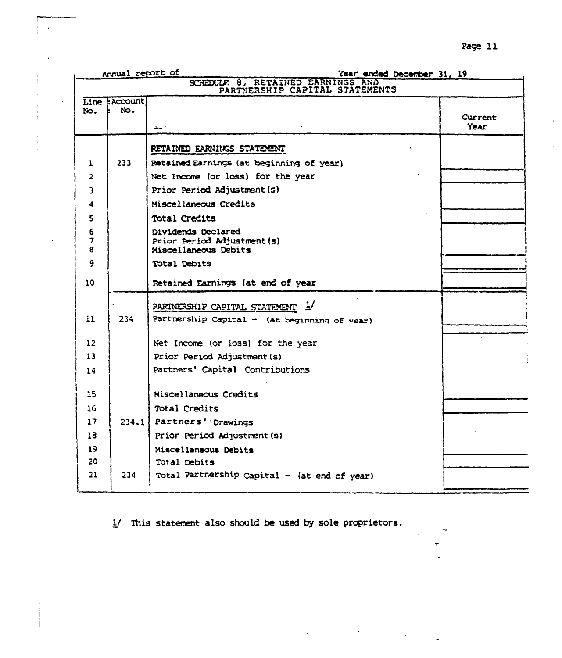|                | Annual report of            | Year ended December 31, 19                                       |                 |
|----------------|-----------------------------|------------------------------------------------------------------|-----------------|
|                |                             | SCHEDULE 8, RETAINED EARNINGS AND PARTNERSHIP CAPITAL STATEMENTS |                 |
| No.            | Line : Account<br>NO.<br>E. |                                                                  |                 |
|                |                             | سيت                                                              | Current<br>Year |
|                |                             |                                                                  |                 |
|                |                             | RETAINED EARNINGS STATEMENT                                      |                 |
| 1              | 233                         | Retained Earnings (at beginning of year)                         |                 |
| $\overline{2}$ |                             | Net Income (or loss) for the year                                |                 |
| 3              |                             | Prior Period Adjustment (s)                                      |                 |
| 4              |                             | Miscellaneous Credits                                            |                 |
| 5              |                             | Total Credits                                                    |                 |
| 6              |                             | Dividends Declared                                               |                 |
| 7<br>8         |                             | Prior Period Adjustment(s)<br>Miscellaneous Debits               |                 |
| 9              |                             | Total Debits                                                     |                 |
|                |                             |                                                                  |                 |
| 10             |                             | Retained Earnings (at end of year                                |                 |
|                |                             | $\overline{7}$<br>PARINERSHIP CAPITAL STATEMENT                  |                 |
| 11             | 234                         | Partnership Capital $-$ (at beginning of year)                   |                 |
|                |                             |                                                                  |                 |
| 12             |                             | Net Income (or loss) for the year                                |                 |
| 13             |                             | Prior Period Adjustment (s)                                      |                 |
| 14             |                             | Partners' Capital Contributions                                  |                 |
|                |                             |                                                                  |                 |
| 15             |                             | Miscellaneous Credits                                            |                 |
| 16             |                             | Total Credits                                                    |                 |
| 17             | 234.1                       | Partners' Drawings                                               |                 |
| 18             |                             | Prior Period Adjustment (s)                                      |                 |
| 19<br>20       |                             | Miscellaneous Debits                                             |                 |
| 21             | 234                         | Total Debits                                                     |                 |
|                |                             | Total Partnership Capital - (at end of year)                     |                 |
|                |                             |                                                                  |                 |

1/ This statement also should be used by sole proprietors.

Page 11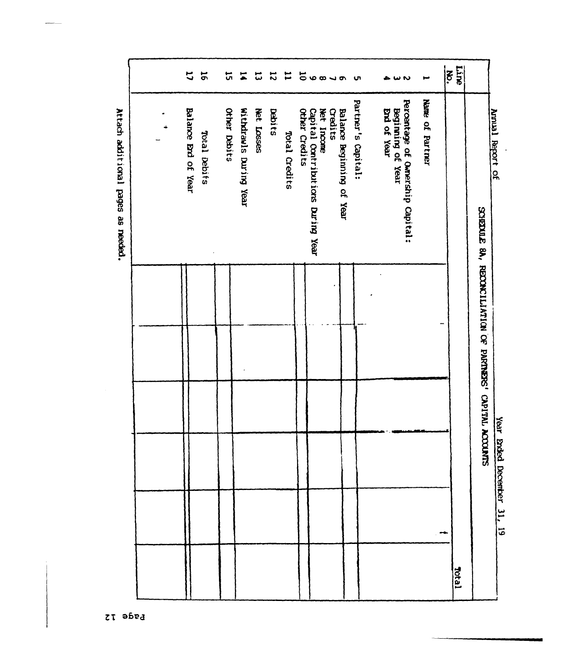| Liine<br>$\ddot{\bm{5}}$       | Name of Partner<br>Annual Report of                                  | SCHEDULE 8A, RECONCILIATION OF PARTNERS' CAPITAL ACCOU | Year Ended December 31, 19<br>$rac{1}{2}$ | Tesor <sub>1</sub> |
|--------------------------------|----------------------------------------------------------------------|--------------------------------------------------------|-------------------------------------------|--------------------|
| ىم                             | Percentage of Ownership Capital:<br>End of Year<br>Beginning of Year |                                                        |                                           |                    |
| u                              | Partner's Capital:<br>Balance Beginning of Year                      |                                                        |                                           |                    |
| 50000                          | Net Incone<br>Credits                                                |                                                        |                                           |                    |
|                                | Other Credits<br>Capital Contributions During Year                   |                                                        |                                           |                    |
| ᇦ                              | Total Credits                                                        |                                                        |                                           |                    |
| $\boldsymbol{\ddot{\sim}}$     | Debits                                                               |                                                        |                                           |                    |
| 붗<br>ದ                         | Withdrawls During Year<br>Net Losses                                 |                                                        |                                           |                    |
| 뉴                              | Other Debits                                                         |                                                        |                                           |                    |
| $\mathbf{u}$<br>$\overline{5}$ | Balance Brd of Year<br>Total Debits                                  |                                                        |                                           |                    |
|                                |                                                                      |                                                        |                                           |                    |

 $\ddot{\phantom{1}}$ 

Attach additional pages as needed.

ë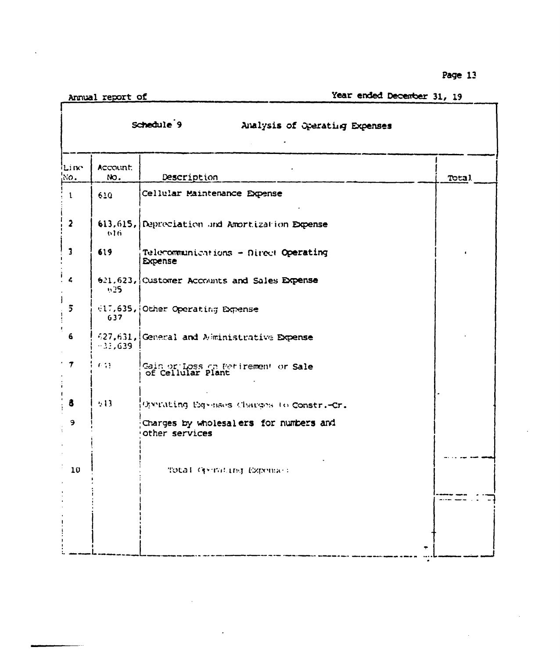Page 13

 $\mathcal{L}_{\mathcal{A}}$ 

 $\sim$ 

Annual report of

 $\ddot{\phantom{a}}$ 

ſ

# Year ended December 31, 19

|                         |                 | Schedule <sup>9</sup><br>Analysis of Operating Expenses  |       |
|-------------------------|-----------------|----------------------------------------------------------|-------|
| iLine<br>ixo.           | Account.<br>NO. | Description                                              | Total |
| $\mathbf{t}$            | 610             | Cellular Maintenance Expense                             |       |
| $\overline{\mathbf{2}}$ | 616             | 613,615, Depreciation and Amortization Expense           |       |
| $\overline{\mathbf{3}}$ | 619             | Telecommunications - Direct Operating<br><b>Expense</b>  |       |
| $\frac{1}{4}$           | n25.            | 621,623, Customer Accounts and Sales Expense             |       |
| J.<br>$\overline{5}$    | 637             | 617,635, Other Operating Expense                         |       |
| ŧ.<br>6                 | $-33,639$       | 627,631, General and Alministrative Expense              |       |
| $\cdot$ $\tau$          | <b>643</b>      | Gain or Loss on Petirement or Sale<br>of Cellular Plant  |       |
| 8                       | 543             | Operating Expenses Charges to Constr.-Cr.                |       |
| 9                       |                 | Charges by wholesalers for numbers and<br>other services |       |
| 10                      |                 | Total Gerrating Exponses                                 |       |
|                         |                 |                                                          |       |

 $\bar{z}$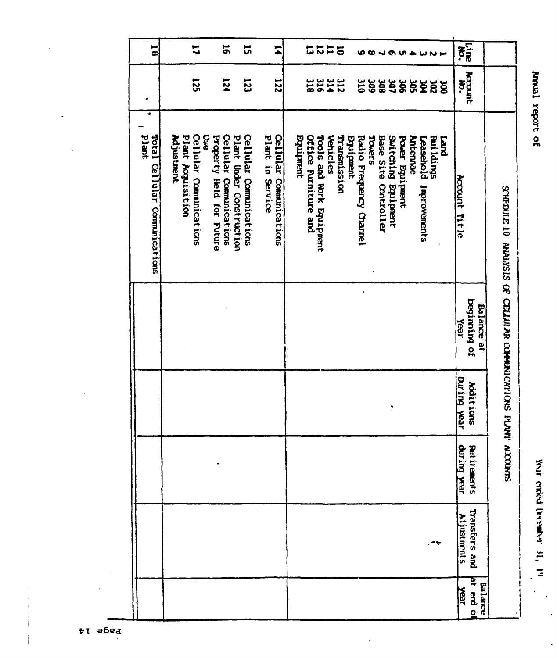$\ddot{\phantom{a}}$ 

 $\ddot{\phantom{0}}$ 

| $\overline{\mathbf{g}}$                    | $\mathbf{u}$                                                            | 5                                                                              | ដ                      | $\overline{\bullet}$                        |           | ដដ                                               | $\sharp$<br>$\overline{5}$      | ω                                          | œ                           |                                                    |                                     |                                 |                           | $\overline{\mathbf{z}}$ |                            |                                                       |  |
|--------------------------------------------|-------------------------------------------------------------------------|--------------------------------------------------------------------------------|------------------------|---------------------------------------------|-----------|--------------------------------------------------|---------------------------------|--------------------------------------------|-----------------------------|----------------------------------------------------|-------------------------------------|---------------------------------|---------------------------|-------------------------|----------------------------|-------------------------------------------------------|--|
|                                            | <b>125</b>                                                              | 124                                                                            | <b>123</b>             | <b>I22</b>                                  |           | 21148                                            |                                 | $\tilde{a}$                                | 80E<br><b>SOC</b>           | 307                                                | ă<br>š                              | ă                               | ន្លែ                      | Account                 |                            |                                                       |  |
| ÷<br>plant<br>Total Cellular Commulcations | Plant Acquisition<br>Cellular Comunications<br><b>Use</b><br>Adjustment | Cellular Comunications<br>Plant Under Construction<br>Property Held for Future | Cellular Comunications | Plant in Service<br>Cellular Communications | Equipment | Office Furniture and<br>Tools and Work Equipment | <b>Vehicles</b><br>Transmission | Radio Frequency Chanel<br><b>EQUIPMENT</b> | STOWEDS<br><b>Base Site</b> | Sultching<br><b>Bruipment</b><br><b>Controller</b> | Power Equipment<br><b>Muterinae</b> | prodesed<br><b>Improvements</b> | <b>Buildings</b><br>puery | Account Title           |                            | SCHEDULE 10 ANALISIS OF CELLULAR COMMUNICATIONS PLANT |  |
|                                            |                                                                         |                                                                                |                        |                                             |           |                                                  |                                 |                                            |                             |                                                    |                                     |                                 |                           | Year                    | beginning of<br>Balance at |                                                       |  |
|                                            |                                                                         |                                                                                |                        |                                             |           |                                                  |                                 |                                            |                             |                                                    |                                     |                                 |                           | During year             | Additions                  |                                                       |  |
|                                            |                                                                         |                                                                                |                        |                                             |           |                                                  |                                 |                                            |                             |                                                    |                                     |                                 |                           | during year             | Ret irenents               | <b><i><u>ELANDOCAN</u></i></b>                        |  |
|                                            |                                                                         |                                                                                |                        |                                             |           |                                                  |                                 |                                            |                             |                                                    |                                     |                                 |                           | Miustments              | Transfers and              |                                                       |  |
|                                            |                                                                         |                                                                                |                        |                                             |           |                                                  |                                 |                                            |                             |                                                    |                                     |                                 |                           | $\frac{1}{2}$           | at end o<br>Balance        |                                                       |  |

 $\ddot{\phantom{a}}$ 

pt abed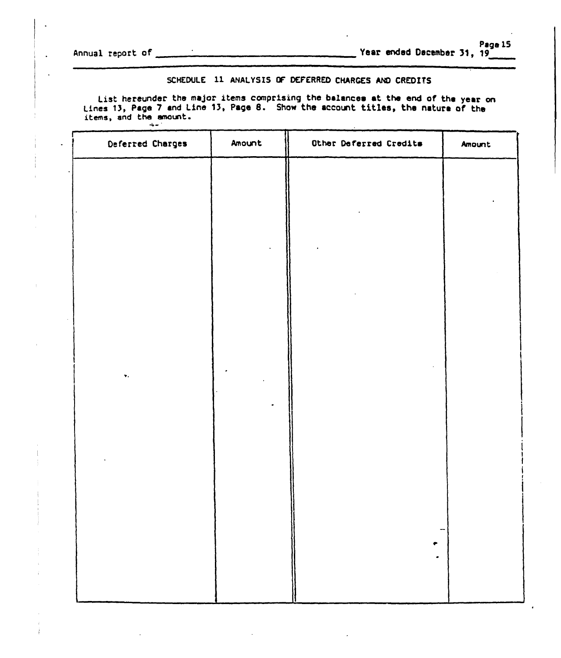Annual report of

# SCHEDULE 11 ANALYSIS OF DEFERRED CHARGES AND CREDITS

List hereunder the major items comprising the balances at the end of the year on Lines 13, Page 7 and Line 13, Page 8. Show the account titles, the nature of the items, and the amount.  $\frac{1}{2}$  and  $\frac{1}{2}$ 

|           | Deferred Charges | Amount | Other Deferred Credits | Amount |
|-----------|------------------|--------|------------------------|--------|
|           |                  |        |                        |        |
|           |                  |        |                        |        |
|           |                  |        |                        |        |
|           |                  |        |                        |        |
|           |                  |        |                        |        |
| $\bar{L}$ |                  |        |                        |        |
|           |                  |        |                        |        |
|           | ν.               |        |                        |        |
|           |                  |        |                        |        |
|           |                  |        |                        |        |
|           |                  |        |                        |        |
|           |                  |        |                        |        |
|           |                  |        |                        |        |
|           |                  |        |                        |        |
|           |                  |        |                        |        |
|           |                  |        |                        |        |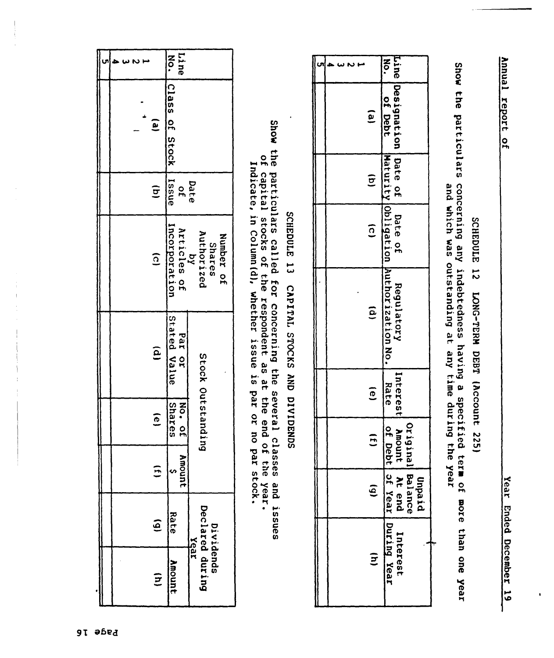Annual report of

SCHEDULE 12 LONG-TERM DEBT (Account 225)

Show the particulars concerning any indebtedness having a specified term of more than one year<br>Show the particulars concerning any indebtedness having any time during the year

|  |                    | $\frac{8}{3}$                                                                  |
|--|--------------------|--------------------------------------------------------------------------------|
|  | $\mathbf{e}$       | Line loesignation [Date of ] Date of<br>of Debt                                |
|  | $\widehat{\sigma}$ |                                                                                |
|  | $\overline{c}$     |                                                                                |
|  | $\tilde{e}$        | Maturity Obligation Authorization No.<br>Regulatory                            |
|  | $\overline{e}$     |                                                                                |
|  | $\overline{E}$     |                                                                                |
|  | $\overline{6}$     | Diedun                                                                         |
|  | $\mathbf{E}$       | Original Balance<br>Interest Amount At end<br>Rate of Debt of Year During Year |

SCHEDULE 13 CAPITAL STOCKS AND DIVIDENDS

Show the particulars called for concerning the several classes and issues of capital stocks of the respondent as at the end of the year.<br>Indicate, in Column(d), whether issue is par or no par stock.

|                        | [Line<br>zo.                 |                                                           |
|------------------------|------------------------------|-----------------------------------------------------------|
| $\mathbf{e}$           | ICIass of Stock   Issue      |                                                           |
| $\widehat{\mathbf{g}}$ | Date<br>of                   |                                                           |
| $\overline{a}$         | Incorporation<br>Articles of | Authorized<br>Number of<br><b>Shares</b><br>$\frac{1}{2}$ |
| ê                      | Stated Value<br>To red       |                                                           |
| $\overline{6}$         | Seraces<br>30.04             | Stock Outstanding                                         |
| 5                      | Amoun                        |                                                           |
| $\hat{e}$              | Bate                         |                                                           |
| $\Xi$                  | <b>Amount</b>                | Dividends<br>Declared during<br>Year                      |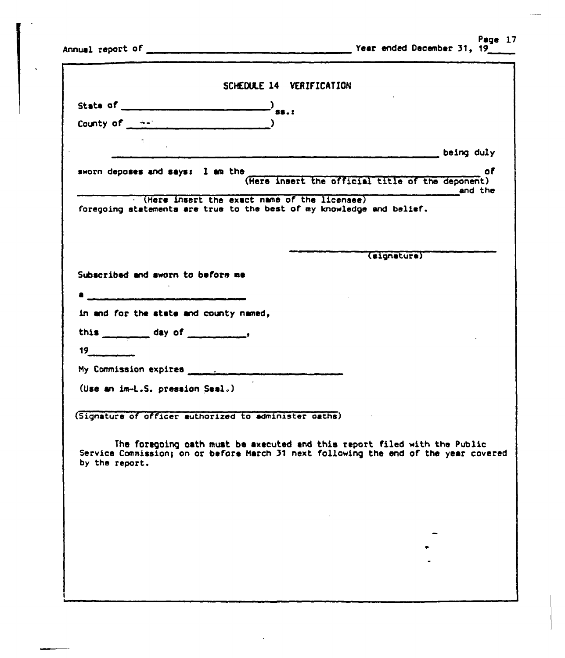Page 17 Year ended December 31, 19

Annual report of

 $\ddot{\phantom{a}}$ 

| State of $\qquad \qquad$ $\qquad \qquad$ $\qquad$ $\qquad$ $\qquad$ $\qquad$ $\qquad$ $\qquad$ $\qquad$ $\qquad$ $\qquad$ $\qquad$ $\qquad$ $\qquad$ $\qquad$ $\qquad$ $\qquad$ $\qquad$ $\qquad$ $\qquad$ $\qquad$ $\qquad$ $\qquad$ $\qquad$ $\qquad$ $\qquad$ $\qquad$ $\qquad$ $\qquad$ $\qquad$ $\qquad$ $\qquad$ $\qquad$ $\qquad$ $\$ |                                                       |         |
|----------------------------------------------------------------------------------------------------------------------------------------------------------------------------------------------------------------------------------------------------------------------------------------------------------------------------------------------|-------------------------------------------------------|---------|
| County of $\rightarrow$                                                                                                                                                                                                                                                                                                                      |                                                       |         |
|                                                                                                                                                                                                                                                                                                                                              |                                                       |         |
|                                                                                                                                                                                                                                                                                                                                              |                                                       |         |
|                                                                                                                                                                                                                                                                                                                                              |                                                       | - of    |
| sworn deposes and says: I am the                                                                                                                                                                                                                                                                                                             | o<br>(Here insert the official title of the deponent) | end the |
| (Here insert the exact name of the licensee)<br>foregoing statements are true to the best of my knowledge and belief.                                                                                                                                                                                                                        |                                                       |         |
|                                                                                                                                                                                                                                                                                                                                              |                                                       |         |
|                                                                                                                                                                                                                                                                                                                                              |                                                       |         |
|                                                                                                                                                                                                                                                                                                                                              | (signature)                                           |         |
| Subscribed and sworn to before me                                                                                                                                                                                                                                                                                                            |                                                       |         |
|                                                                                                                                                                                                                                                                                                                                              |                                                       |         |
| in and for the state and county named,                                                                                                                                                                                                                                                                                                       |                                                       |         |
|                                                                                                                                                                                                                                                                                                                                              |                                                       |         |
| 19                                                                                                                                                                                                                                                                                                                                           |                                                       |         |
|                                                                                                                                                                                                                                                                                                                                              |                                                       |         |
| (Use an im-L.S. pression Seal.)                                                                                                                                                                                                                                                                                                              |                                                       |         |
|                                                                                                                                                                                                                                                                                                                                              |                                                       |         |
| (Signature of officer authorized to administer oaths)                                                                                                                                                                                                                                                                                        |                                                       |         |
|                                                                                                                                                                                                                                                                                                                                              |                                                       |         |
| The foregoing oath must be axecuted and this report filed with the Public<br>Service Commission; on or before March 31 next following the end of the year covered<br>by the report.                                                                                                                                                          |                                                       |         |
|                                                                                                                                                                                                                                                                                                                                              |                                                       |         |
|                                                                                                                                                                                                                                                                                                                                              |                                                       |         |
|                                                                                                                                                                                                                                                                                                                                              |                                                       |         |
|                                                                                                                                                                                                                                                                                                                                              |                                                       |         |
|                                                                                                                                                                                                                                                                                                                                              |                                                       |         |
|                                                                                                                                                                                                                                                                                                                                              |                                                       |         |
|                                                                                                                                                                                                                                                                                                                                              |                                                       |         |